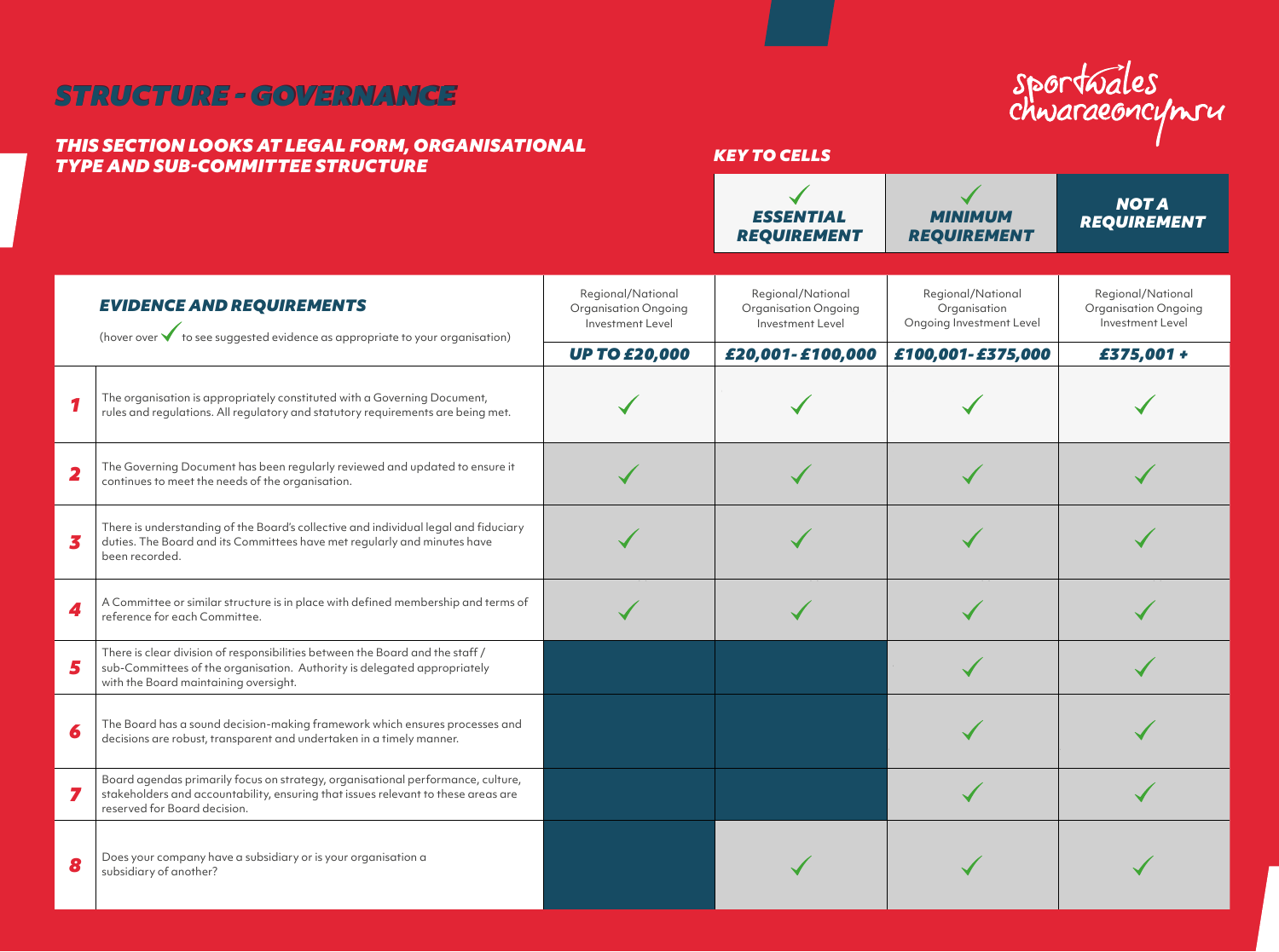# *STRUCTURE - GOVERNANCE STRUCTURE - GOVERNANCE*

#### *THIS SECTION LOOKS AT LEGAL FORM, ORGANISATIONAL TYPE AND SUB-COMMITTEE STRUCTURE*

# sportwales<br>chwaraeoncynru

## *KEY TO CELLS***Contract Contract State**

|                         |                                                                                                                                                                                                      |                                                                      | <b>ESSENTIAL</b><br><b>REQUIREMENT</b>                        | <b>MINIMUM</b><br><b>REQUIREMENT</b>                          | <b>NOTA</b><br><b>REQUIREMENT</b>                             |
|-------------------------|------------------------------------------------------------------------------------------------------------------------------------------------------------------------------------------------------|----------------------------------------------------------------------|---------------------------------------------------------------|---------------------------------------------------------------|---------------------------------------------------------------|
|                         | <b>EVIDENCE AND REQUIREMENTS</b><br>(hover over $\checkmark$ to see suggested evidence as appropriate to your organisation)                                                                          | Regional/National<br><b>Organisation Ongoing</b><br>Investment Level | Regional/National<br>Organisation Ongoing<br>Investment Level | Regional/National<br>Organisation<br>Ongoing Investment Level | Regional/National<br>Organisation Ongoing<br>Investment Level |
| 1                       | The organisation is appropriately constituted with a Governing Document,<br>rules and regulations. All regulatory and statutory requirements are being met.                                          | <b>UP TO £20,000</b>                                                 | £20,001-£100,000                                              | £100,001-£375,000                                             | £375,001+                                                     |
| $\overline{\mathbf{2}}$ | The Governing Document has been regularly reviewed and updated to ensure it<br>continues to meet the needs of the organisation.                                                                      |                                                                      |                                                               |                                                               |                                                               |
| 3                       | There is understanding of the Board's collective and individual legal and fiduciary<br>duties. The Board and its Committees have met regularly and minutes have<br>been recorded.                    |                                                                      |                                                               |                                                               |                                                               |
| 4                       | A Committee or similar structure is in place with defined membership and terms of<br>reference for each Committee.                                                                                   |                                                                      |                                                               |                                                               |                                                               |
| 5                       | There is clear division of responsibilities between the Board and the staff /<br>sub-Committees of the organisation. Authority is delegated appropriately<br>with the Board maintaining oversight.   |                                                                      |                                                               |                                                               |                                                               |
| 6                       | The Board has a sound decision-making framework which ensures processes and<br>decisions are robust, transparent and undertaken in a timely manner.                                                  |                                                                      |                                                               |                                                               |                                                               |
| 7                       | Board agendas primarily focus on strategy, organisational performance, culture,<br>stakeholders and accountability, ensuring that issues relevant to these areas are<br>reserved for Board decision. |                                                                      |                                                               |                                                               |                                                               |
| 8                       | Does your company have a subsidiary or is your organisation a<br>subsidiary of another?                                                                                                              |                                                                      |                                                               |                                                               |                                                               |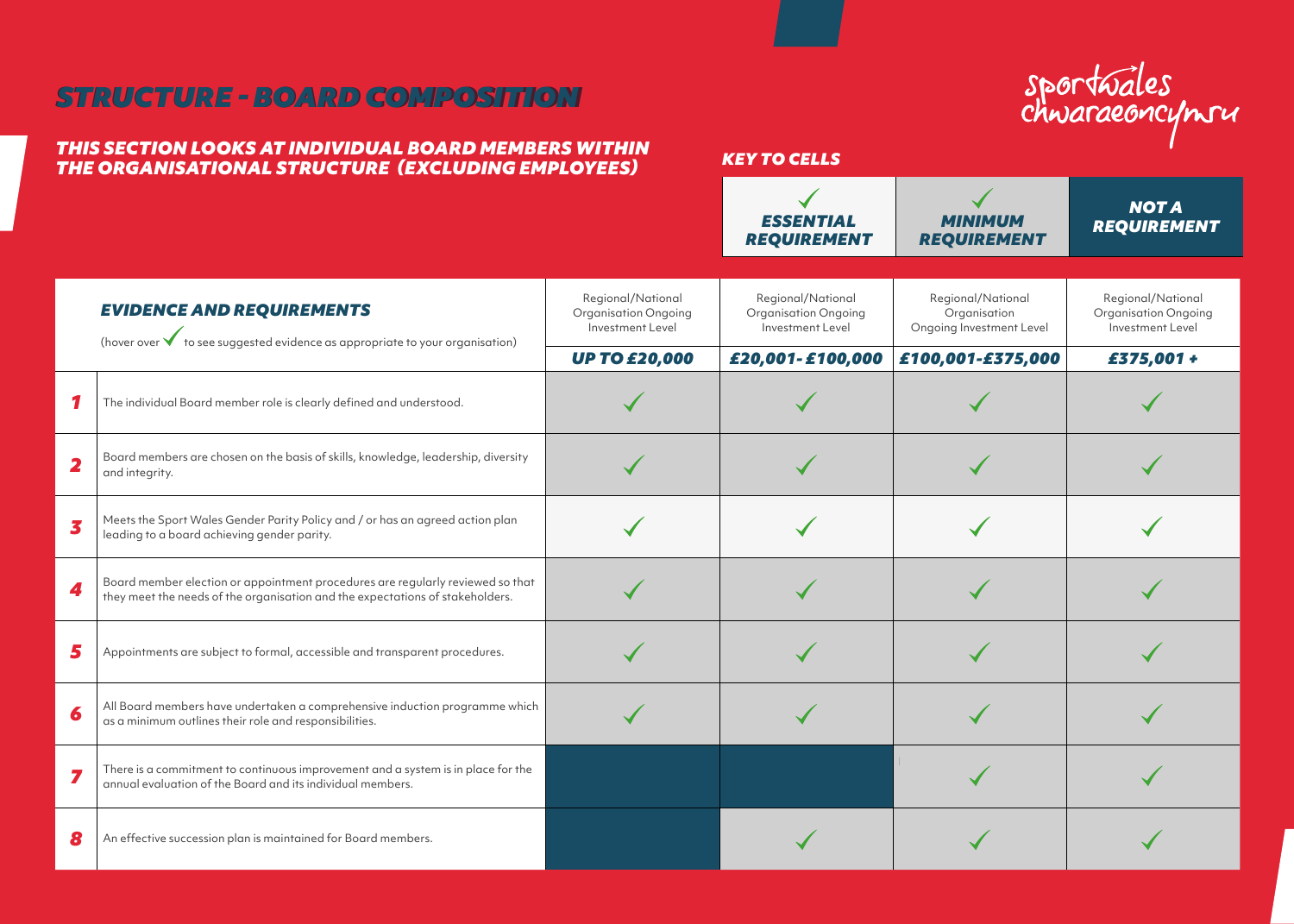# *STRUCTURE - BOARD COMPOSITION STRUCTURE - BOARD COMPOSITION*

#### *THIS SECTION LOOKS AT INDIVIDUAL BOARD MEMBERS WITHIN THE ORGANISATIONAL STRUCTURE (EXCLUDING EMPLOYEES)*

| sportwales<br>chwaraeoncynru |  |
|------------------------------|--|
|                              |  |

|                         |                                                                                                                                                                 |                                                                      | ESSENTIAL<br><b>REQUIREMENT</b>                               | MINIMUM<br><b>REQUIREMENT</b>                                 | <b>NOTA</b><br><b>REQUIREMENT</b>                                    |
|-------------------------|-----------------------------------------------------------------------------------------------------------------------------------------------------------------|----------------------------------------------------------------------|---------------------------------------------------------------|---------------------------------------------------------------|----------------------------------------------------------------------|
|                         | <b>EVIDENCE AND REQUIREMENTS</b><br>(hover over $\checkmark$ to see suggested evidence as appropriate to your organisation)                                     | Regional/National<br><b>Organisation Ongoing</b><br>Investment Level | Regional/National<br>Organisation Ongoing<br>Investment Level | Regional/National<br>Organisation<br>Ongoing Investment Level | Regional/National<br><b>Organisation Ongoing</b><br>Investment Level |
|                         |                                                                                                                                                                 | <b>UP TO £20,000</b>                                                 | £20,001-£100,000                                              | £100,001-£375,000                                             | £375,001 +                                                           |
| 1                       | The individual Board member role is clearly defined and understood.                                                                                             |                                                                      |                                                               |                                                               |                                                                      |
| $\overline{\mathbf{2}}$ | Board members are chosen on the basis of skills, knowledge, leadership, diversity<br>and integrity.                                                             |                                                                      |                                                               |                                                               |                                                                      |
| 3                       | Meets the Sport Wales Gender Parity Policy and / or has an agreed action plan<br>leading to a board achieving gender parity.                                    |                                                                      |                                                               |                                                               |                                                                      |
| 4                       | Board member election or appointment procedures are regularly reviewed so that<br>they meet the needs of the organisation and the expectations of stakeholders. |                                                                      |                                                               |                                                               |                                                                      |
| 5                       | Appointments are subject to formal, accessible and transparent procedures.                                                                                      |                                                                      |                                                               |                                                               |                                                                      |
| 6                       | All Board members have undertaken a comprehensive induction programme which<br>as a minimum outlines their role and responsibilities.                           |                                                                      |                                                               |                                                               |                                                                      |
|                         | There is a commitment to continuous improvement and a system is in place for the<br>annual evaluation of the Board and its individual members.                  |                                                                      |                                                               |                                                               |                                                                      |
| 8                       | An effective succession plan is maintained for Board members.                                                                                                   |                                                                      |                                                               |                                                               |                                                                      |

*KEY TO CELLS*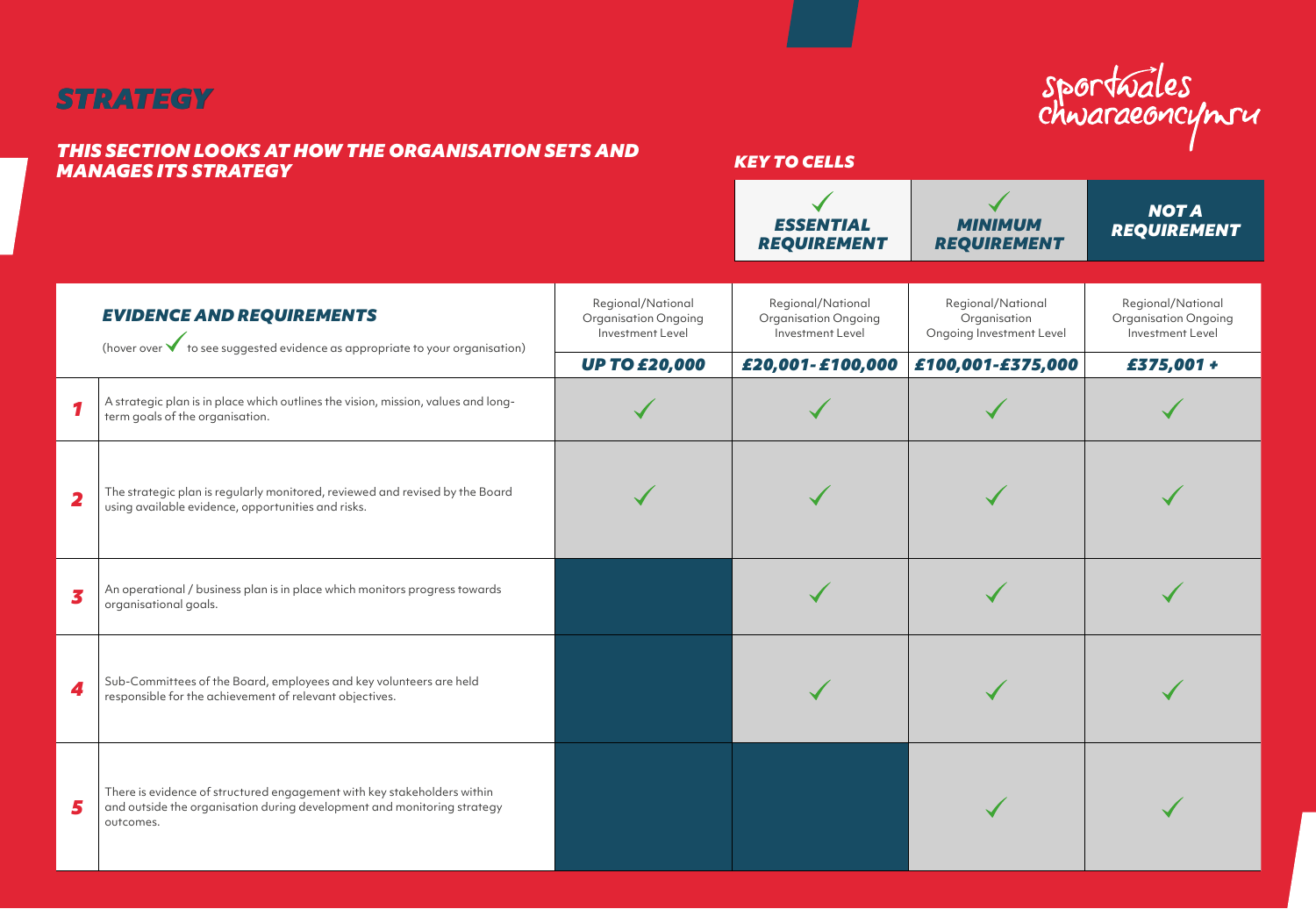# *STRATEGY STRATEGY*

#### *THIS SECTION LOOKS AT HOW THE ORGANISATION SETS AND MANAGES ITS STRATEGY*

#### *KEY TO CELLS*

sportwales<br>chwaraeoncynru

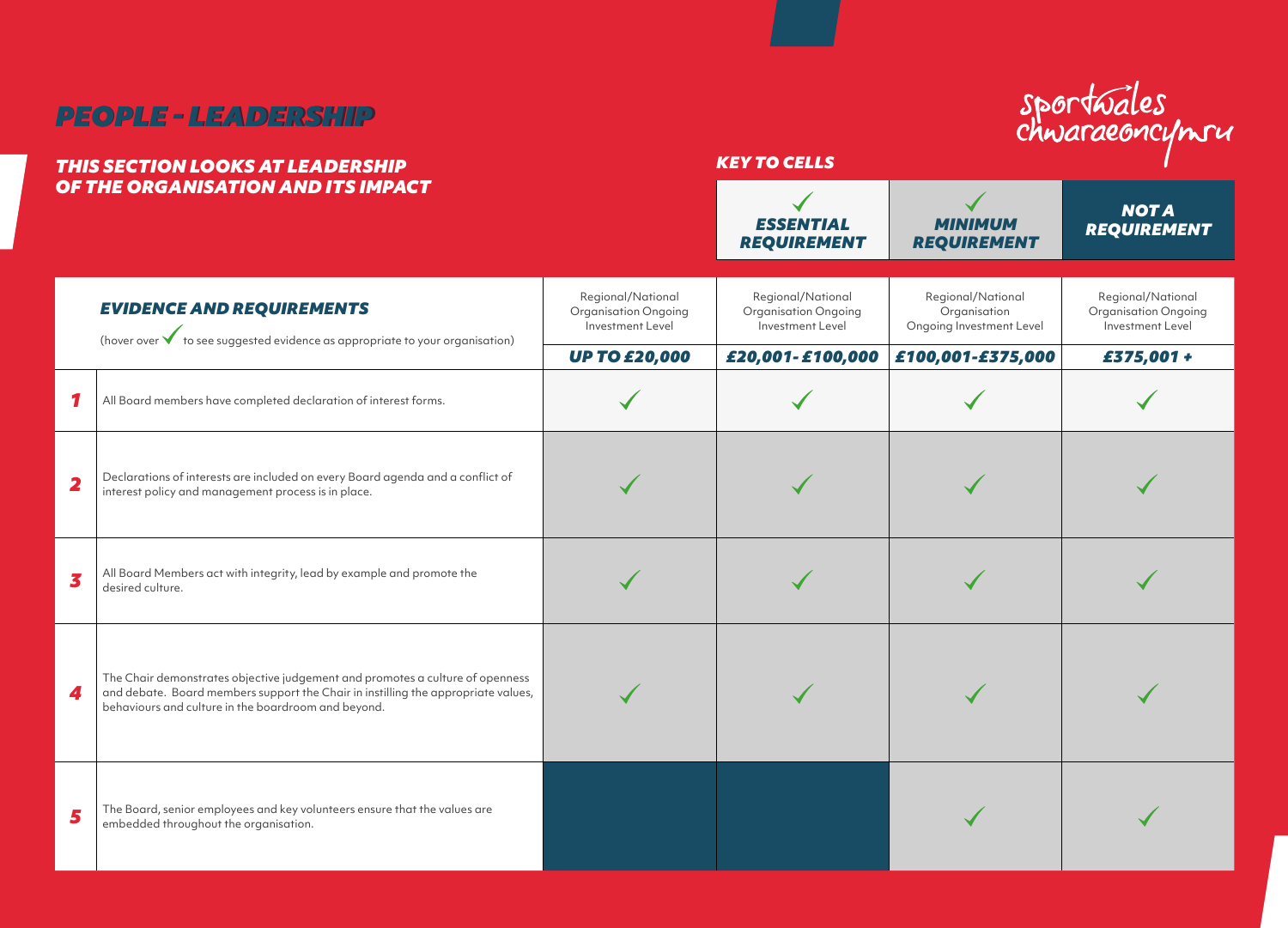| <b>PEOPLE - LEADERSHIP</b><br><b>THIS SECTION LOOKS AT LEADERSHIP</b> |                                                                                                                                                                                                                           |                                                                                       | <b>KEY TO CELLS</b>                                                               |                                                                                    | sportwales<br>chwaraeoncymru                                                       |  |
|-----------------------------------------------------------------------|---------------------------------------------------------------------------------------------------------------------------------------------------------------------------------------------------------------------------|---------------------------------------------------------------------------------------|-----------------------------------------------------------------------------------|------------------------------------------------------------------------------------|------------------------------------------------------------------------------------|--|
| OF THE ORGANISATION AND ITS IMPACT                                    |                                                                                                                                                                                                                           |                                                                                       | <b>ESSENTIAL</b><br><b>REQUIREMENT</b>                                            | <b>MINIMUM</b><br><b>REQUIREMENT</b>                                               | <b>NOTA</b><br><b>REQUIREMENT</b>                                                  |  |
|                                                                       | <b>EVIDENCE AND REQUIREMENTS</b><br>(hover over $\bigvee$ to see suggested evidence as appropriate to your organisation)                                                                                                  | Regional/National<br>Organisation Ongoing<br>Investment Level<br><b>UP TO £20,000</b> | Regional/National<br>Organisation Ongoing<br>Investment Level<br>£20,001-£100,000 | Regional/National<br>Organisation<br>Ongoing Investment Level<br>£100,001-£375,000 | Regional/National<br><b>Organisation Ongoing</b><br>Investment Level<br>£375,001 + |  |
|                                                                       | All Board members have completed declaration of interest forms.                                                                                                                                                           |                                                                                       |                                                                                   |                                                                                    |                                                                                    |  |
| 2                                                                     | Declarations of interests are included on every Board agenda and a conflict of<br>interest policy and management process is in place.                                                                                     |                                                                                       |                                                                                   |                                                                                    |                                                                                    |  |
| 3                                                                     | All Board Members act with integrity, lead by example and promote the<br>desired culture.                                                                                                                                 |                                                                                       |                                                                                   |                                                                                    |                                                                                    |  |
| 4                                                                     | The Chair demonstrates objective judgement and promotes a culture of openness<br>and debate. Board members support the Chair in instilling the appropriate values,<br>behaviours and culture in the boardroom and beyond. |                                                                                       |                                                                                   |                                                                                    |                                                                                    |  |
| 5                                                                     | The Board, senior employees and key volunteers ensure that the values are<br>embedded throughout the organisation.                                                                                                        |                                                                                       |                                                                                   |                                                                                    |                                                                                    |  |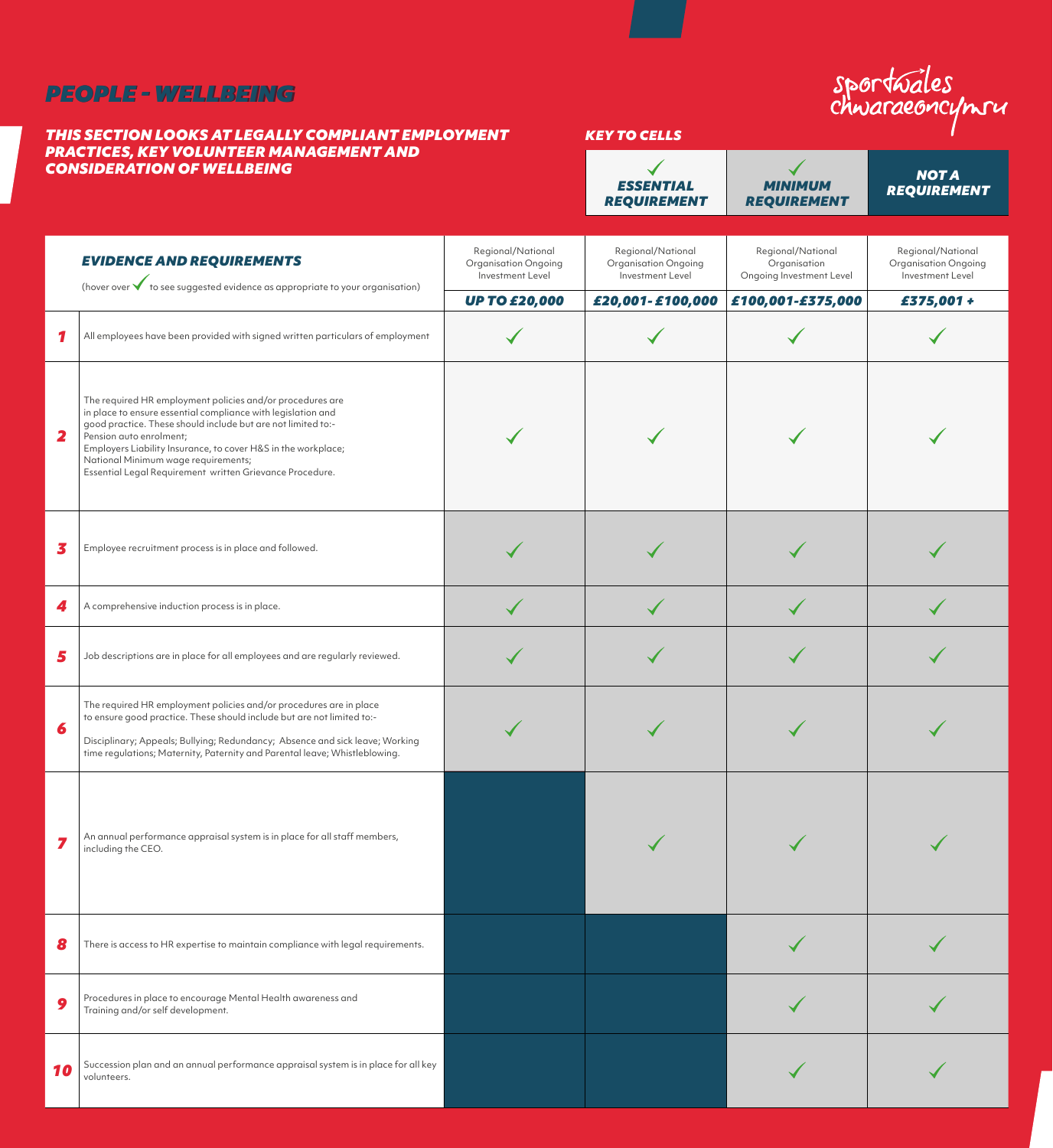# *PEOPLE - WELLBEING PEOPLE - WELLBEING*

#### *THIS SECTION LOOKS AT LEGALLY COMPLIANT EMPLOYMENT PRACTICES, KEY VOLUNTEER MANAGEMENT AND CONSIDERATION OF WELLBEING*

# *KEY TO CELLS*

 $\blacklozenge$ 

sportwales<br>chwaraeoncynru  $\blacktriangledown$ *NOT A ESSENTIAL MINIMUM REQUIREMENTREQUIREMENT REQUIREMENT*

|              | <b>EVIDENCE AND REQUIREMENTS</b><br>(hover over $\checkmark$ to see suggested evidence as appropriate to your organisation)                                                                                                                                                                                                                                                              | Regional/National<br>Organisation Ongoing<br>Investment Level<br><b>UP TO £20,000</b> | Regional/National<br>Organisation Ongoing<br>Investment Level<br>£20,001-£100,000 | Regional/National<br>Organisation<br>Ongoing Investment Level<br>£100,001-£375,000 | Regional/National<br>Organisation Ongoing<br>Investment Level<br>£375,001+ |
|--------------|------------------------------------------------------------------------------------------------------------------------------------------------------------------------------------------------------------------------------------------------------------------------------------------------------------------------------------------------------------------------------------------|---------------------------------------------------------------------------------------|-----------------------------------------------------------------------------------|------------------------------------------------------------------------------------|----------------------------------------------------------------------------|
| 1            | All employees have been provided with signed written particulars of employment                                                                                                                                                                                                                                                                                                           |                                                                                       |                                                                                   |                                                                                    |                                                                            |
| $\mathbf{2}$ | The required HR employment policies and/or procedures are<br>in place to ensure essential compliance with legislation and<br>good practice. These should include but are not limited to:-<br>Pension auto enrolment;<br>Employers Liability Insurance, to cover H&S in the workplace;<br>National Minimum wage requirements;<br>Essential Legal Requirement written Grievance Procedure. |                                                                                       |                                                                                   |                                                                                    |                                                                            |
| 3            | Employee recruitment process is in place and followed.                                                                                                                                                                                                                                                                                                                                   |                                                                                       |                                                                                   |                                                                                    |                                                                            |
| 4            | A comprehensive induction process is in place.                                                                                                                                                                                                                                                                                                                                           |                                                                                       |                                                                                   |                                                                                    |                                                                            |
| 5            | Job descriptions are in place for all employees and are regularly reviewed.                                                                                                                                                                                                                                                                                                              |                                                                                       |                                                                                   |                                                                                    |                                                                            |
| 6            | The required HR employment policies and/or procedures are in place<br>to ensure good practice. These should include but are not limited to:-<br>Disciplinary; Appeals; Bullying; Redundancy; Absence and sick leave; Working<br>time regulations; Maternity, Paternity and Parental leave; Whistleblowing.                                                                               |                                                                                       |                                                                                   |                                                                                    |                                                                            |
| 7            | An annual performance appraisal system is in place for all staff members,<br>including the CEO.                                                                                                                                                                                                                                                                                          |                                                                                       |                                                                                   |                                                                                    |                                                                            |
| 8            | There is access to HR expertise to maintain compliance with legal requirements.                                                                                                                                                                                                                                                                                                          |                                                                                       |                                                                                   |                                                                                    |                                                                            |
| 9            | Procedures in place to encourage Mental Health awareness and<br>Training and/or self development.                                                                                                                                                                                                                                                                                        |                                                                                       |                                                                                   |                                                                                    |                                                                            |
| 10           | Succession plan and an annual performance appraisal system is in place for all key<br>volunteers.                                                                                                                                                                                                                                                                                        |                                                                                       |                                                                                   |                                                                                    |                                                                            |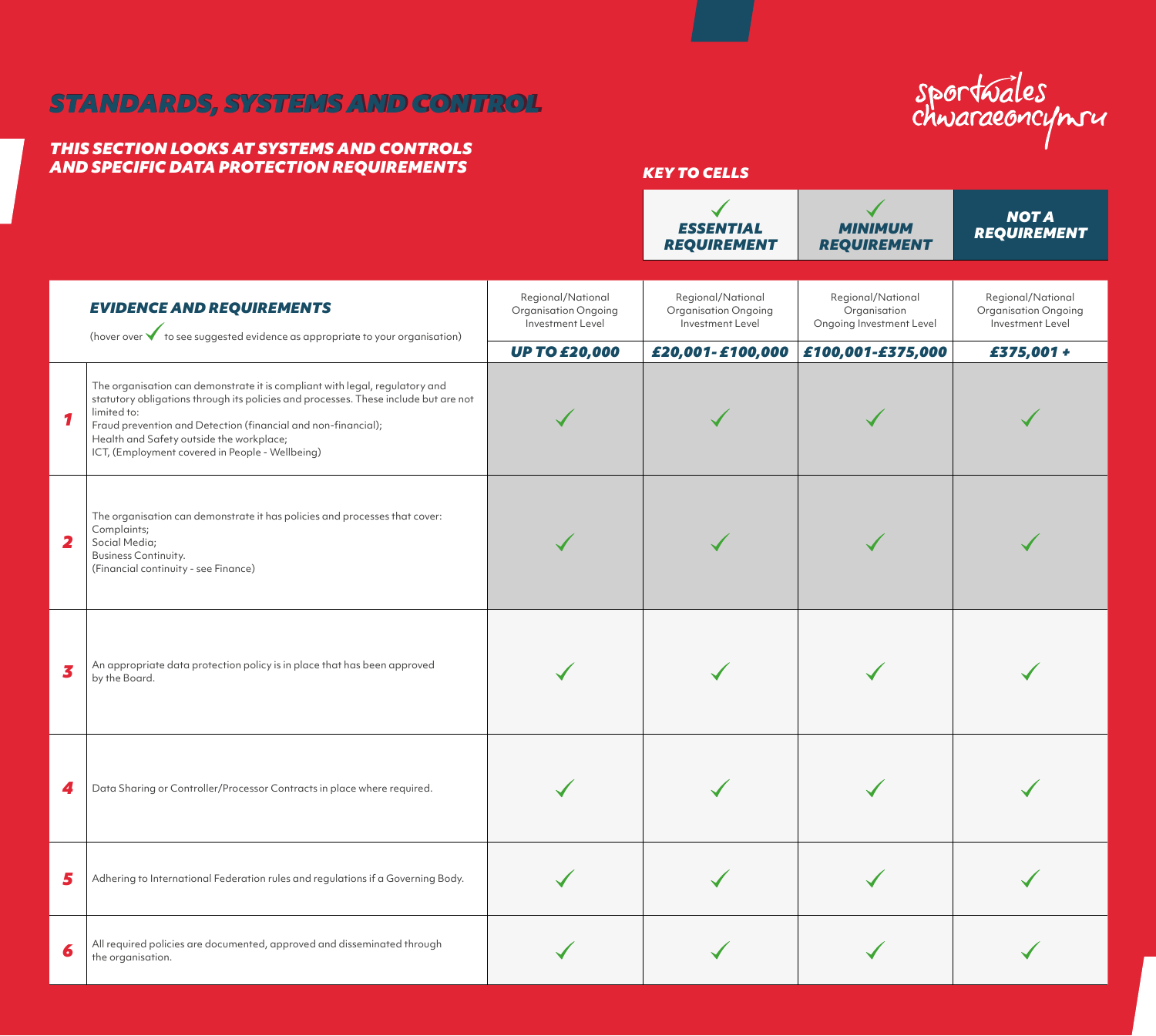# *STANDARDS, SYSTEMS AND CONTROL STANDARDS, SYSTEMS AND CONTROL*

# *THIS SECTION LOOKS AT SYSTEMS AND CONTROLS AND SPECIFIC DATA PROTECTION REQUIREMENTS KEY TO CELLS*

# sportwales<br>chwaraeoncymru

 $\overline{1}$ 

 $\mathcal{L}$ 

|   |                                                                                                                                                                                                                                                                                                                                                   |                                                               | <b>ESSENTIAL</b><br><b>REQUIREMENT</b>                        | <b>MINIMUM</b><br><b>REQUIREMENT</b>                          | <b>NOT A</b><br><b>REQUIREMENT</b>                            |
|---|---------------------------------------------------------------------------------------------------------------------------------------------------------------------------------------------------------------------------------------------------------------------------------------------------------------------------------------------------|---------------------------------------------------------------|---------------------------------------------------------------|---------------------------------------------------------------|---------------------------------------------------------------|
|   | <b>EVIDENCE AND REQUIREMENTS</b><br>(hover over $\blacklozenge$ to see suggested evidence as appropriate to your organisation)                                                                                                                                                                                                                    | Regional/National<br>Organisation Ongoing<br>Investment Level | Regional/National<br>Organisation Ongoing<br>Investment Level | Regional/National<br>Organisation<br>Ongoing Investment Level | Regional/National<br>Organisation Ongoing<br>Investment Level |
|   |                                                                                                                                                                                                                                                                                                                                                   | <b>UP TO £20,000</b>                                          | £20,001-£100,000                                              | £100,001-£375,000                                             | £375,001 +                                                    |
|   | The organisation can demonstrate it is compliant with legal, regulatory and<br>statutory obligations through its policies and processes. These include but are not<br>limited to:<br>Fraud prevention and Detection (financial and non-financial);<br>Health and Safety outside the workplace;<br>ICT, (Employment covered in People - Wellbeing) |                                                               |                                                               |                                                               |                                                               |
| 2 | The organisation can demonstrate it has policies and processes that cover:<br>Complaints;<br>Social Media;<br>Business Continuity.<br>(Financial continuity - see Finance)                                                                                                                                                                        |                                                               |                                                               |                                                               |                                                               |
| 3 | An appropriate data protection policy is in place that has been approved<br>by the Board.                                                                                                                                                                                                                                                         |                                                               |                                                               |                                                               |                                                               |
| 4 | Data Sharing or Controller/Processor Contracts in place where required.                                                                                                                                                                                                                                                                           |                                                               |                                                               |                                                               |                                                               |
| 5 | Adhering to International Federation rules and regulations if a Governing Body.                                                                                                                                                                                                                                                                   |                                                               |                                                               |                                                               |                                                               |
| 6 | All required policies are documented, approved and disseminated through<br>the organisation.                                                                                                                                                                                                                                                      |                                                               |                                                               |                                                               |                                                               |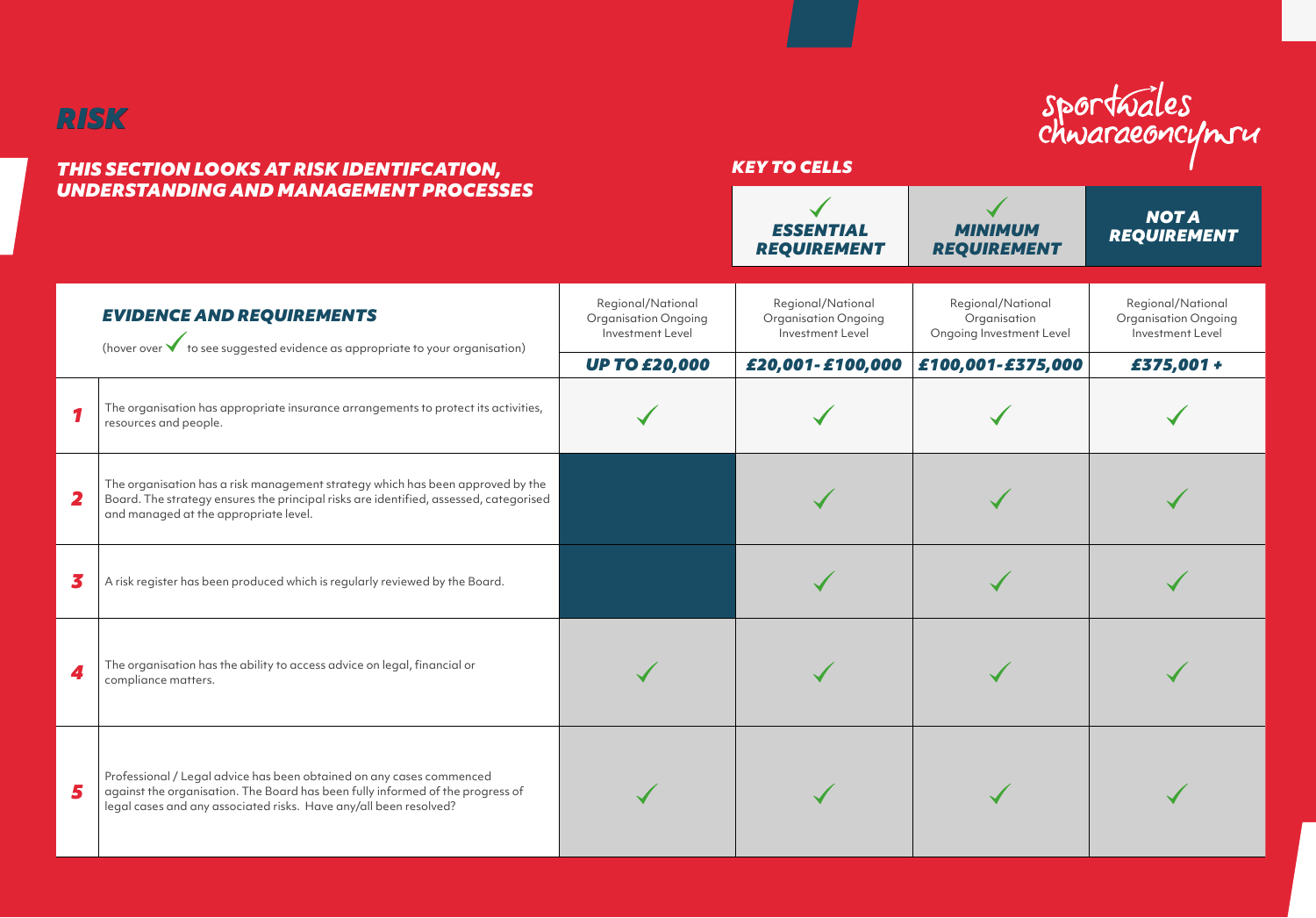

## *THIS SECTION LOOKS AT RISK IDENTIFCATION, UNDERSTANDING AND MANAGEMENT PROCESSES*

# *KEY TO CELLS*

sportwales<br>chwaraeoncymru

|                         | UNDERSTANDING AND MANAGEMENT PROCESSES                                                                                                                                                                                      |                                                                      | <b>ESSENTIAL</b><br><b>REQUIREMENT</b>                        | <b>MINIMUM</b><br><b>REQUIREMENT</b>                          | <b>NOTA</b><br><b>REQUIREMENT</b>                                    |
|-------------------------|-----------------------------------------------------------------------------------------------------------------------------------------------------------------------------------------------------------------------------|----------------------------------------------------------------------|---------------------------------------------------------------|---------------------------------------------------------------|----------------------------------------------------------------------|
|                         | <b>EVIDENCE AND REQUIREMENTS</b><br>(hover over $\checkmark$ to see suggested evidence as appropriate to your organisation)                                                                                                 | Regional/National<br><b>Organisation Ongoing</b><br>Investment Level | Regional/National<br>Organisation Ongoing<br>Investment Level | Regional/National<br>Organisation<br>Ongoing Investment Level | Regional/National<br><b>Organisation Ongoing</b><br>Investment Level |
|                         |                                                                                                                                                                                                                             | <b>UP TO £20,000</b>                                                 | £20,001-£100,000                                              | £100,001-£375,000                                             | £375,001 +                                                           |
| 1                       | The organisation has appropriate insurance arrangements to protect its activities,<br>resources and people.                                                                                                                 |                                                                      |                                                               |                                                               |                                                                      |
| $\overline{\mathbf{2}}$ | The organisation has a risk management strategy which has been approved by the<br>Board. The strategy ensures the principal risks are identified, assessed, categorised<br>and managed at the appropriate level.            |                                                                      |                                                               |                                                               |                                                                      |
| 3                       | A risk register has been produced which is regularly reviewed by the Board.                                                                                                                                                 |                                                                      |                                                               |                                                               |                                                                      |
| 4                       | The organisation has the ability to access advice on legal, financial or<br>compliance matters.                                                                                                                             |                                                                      |                                                               |                                                               |                                                                      |
| 5                       | Professional / Legal advice has been obtained on any cases commenced<br>against the organisation. The Board has been fully informed of the progress of<br>legal cases and any associated risks. Have any/all been resolved? |                                                                      |                                                               |                                                               |                                                                      |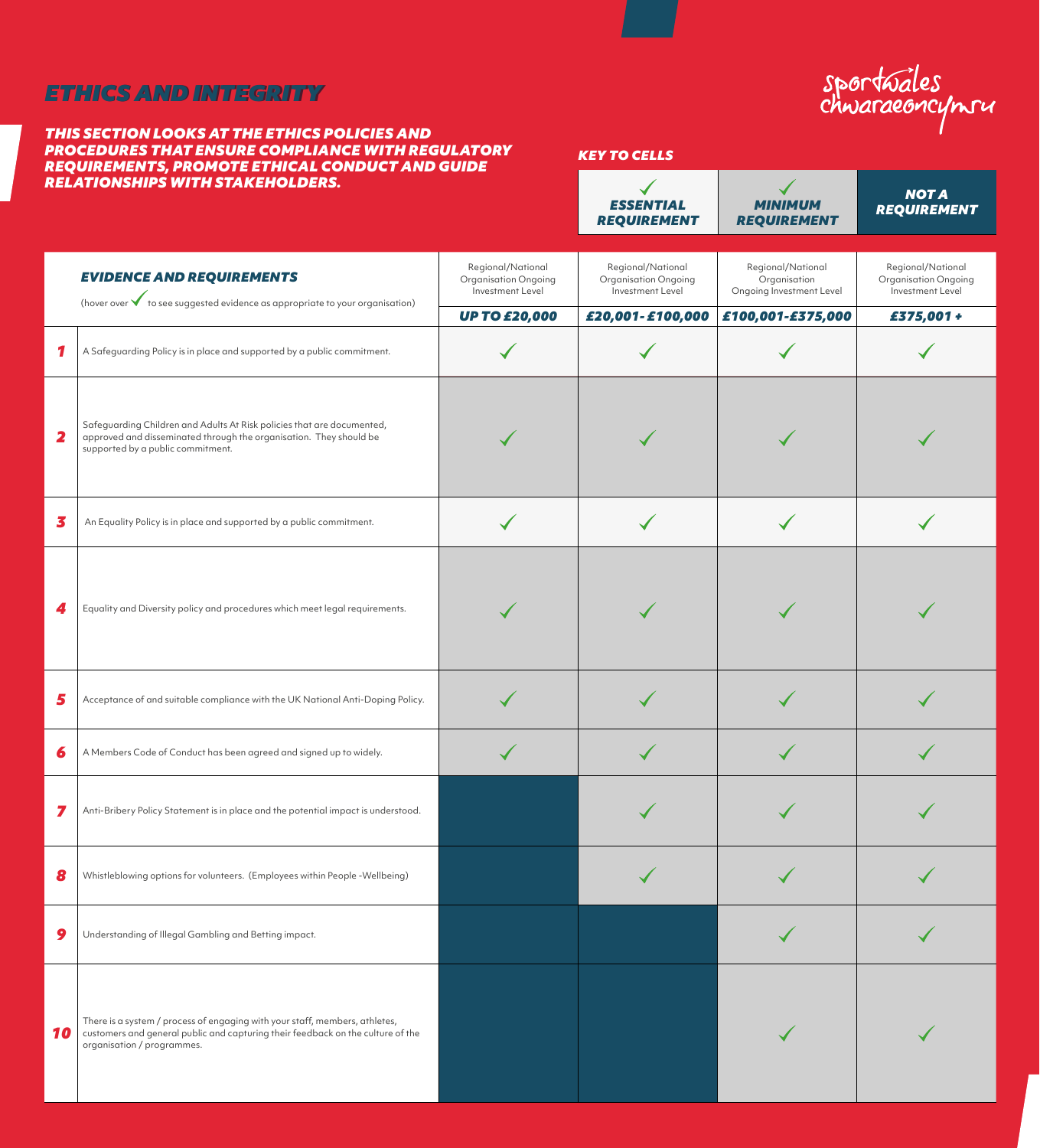# *ETHICS AND INTEGRITY ETHICS AND INTEGRITY*

*2*

*10*

#### *THIS SECTION LOOKS AT THE ETHICS POLICIES AND PROCEDURES THAT ENSURE COMPLIANCE WITH REGULATORY REQUIREMENTS, PROMOTE ETHICAL CONDUCT AND GUIDE RELATIONSHIPS WITH STAKEHOLDERS.*

| sportwales |  |
|------------|--|
|            |  |

*KEY TO CELLS*

|   | ELATIONSHIPS WITH STAKEHOLDERS.                                                                                                                                                              |                                                               | <b>ESSENTIAL</b><br><b>REQUIREMENT</b>                        | MINIMUM<br><b>REQUIREMENT</b>                                 | <b>NOTA</b><br><b>REQUIREMENT</b>                             |
|---|----------------------------------------------------------------------------------------------------------------------------------------------------------------------------------------------|---------------------------------------------------------------|---------------------------------------------------------------|---------------------------------------------------------------|---------------------------------------------------------------|
|   | <b>EVIDENCE AND REQUIREMENTS</b><br>(hover over $\checkmark$ to see suggested evidence as appropriate to your organisation)                                                                  | Regional/National<br>Organisation Ongoing<br>Investment Level | Regional/National<br>Organisation Ongoing<br>Investment Level | Regional/National<br>Organisation<br>Ongoing Investment Level | Regional/National<br>Organisation Ongoing<br>Investment Level |
|   |                                                                                                                                                                                              | <b>UP TO £20,000</b>                                          | £20,001-£100,000                                              | £100,001-£375,000                                             | £375,001 +                                                    |
| 1 | A Safeguarding Policy is in place and supported by a public commitment.                                                                                                                      |                                                               |                                                               |                                                               |                                                               |
| 2 | Safeguarding Children and Adults At Risk policies that are documented,<br>approved and disseminated through the organisation. They should be<br>supported by a public commitment.            |                                                               |                                                               |                                                               |                                                               |
| 3 | An Equality Policy is in place and supported by a public commitment.                                                                                                                         |                                                               |                                                               |                                                               |                                                               |
|   | Equality and Diversity policy and procedures which meet legal requirements.                                                                                                                  |                                                               |                                                               |                                                               |                                                               |
| 5 | Acceptance of and suitable compliance with the UK National Anti-Doping Policy.                                                                                                               |                                                               |                                                               |                                                               |                                                               |
| 6 | A Members Code of Conduct has been agreed and signed up to widely.                                                                                                                           |                                                               |                                                               |                                                               |                                                               |
| 7 | Anti-Bribery Policy Statement is in place and the potential impact is understood.                                                                                                            |                                                               |                                                               |                                                               |                                                               |
| 8 | Whistleblowing options for volunteers. (Employees within People -Wellbeing)                                                                                                                  |                                                               |                                                               |                                                               |                                                               |
| 9 | Understanding of Illegal Gambling and Betting impact.                                                                                                                                        |                                                               |                                                               |                                                               |                                                               |
| 0 | There is a system / process of engaging with your staff, members, athletes,<br>customers and general public and capturing their feedback on the culture of the<br>organisation / programmes. |                                                               |                                                               |                                                               |                                                               |